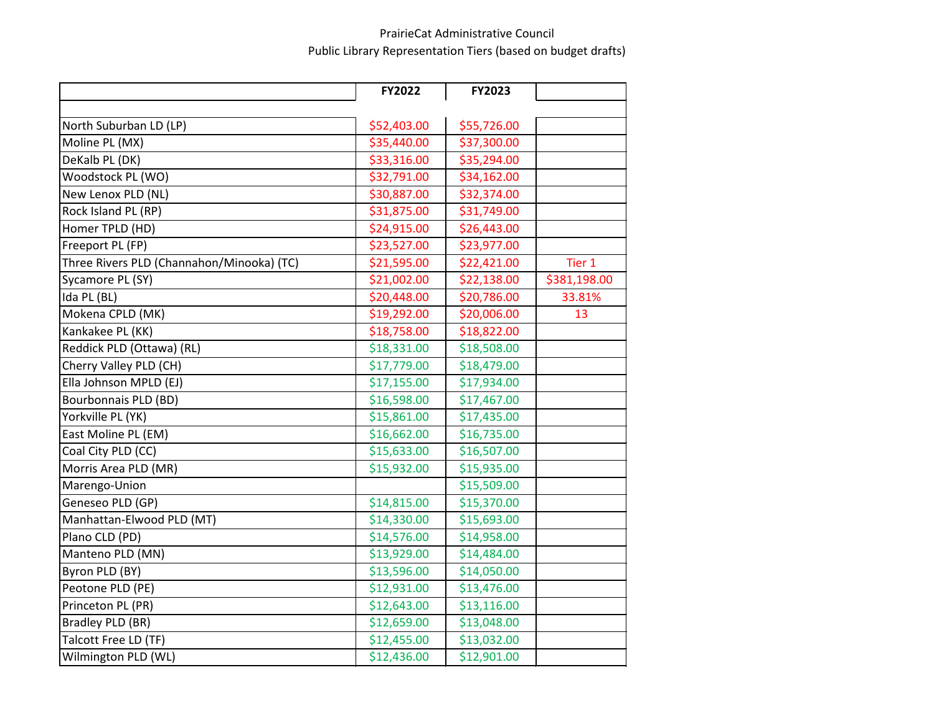## PrairieCat Administrative Council Public Library Representation Tiers (based on budget drafts)

|                                           | FY2022      | FY2023      |              |
|-------------------------------------------|-------------|-------------|--------------|
|                                           |             |             |              |
| North Suburban LD (LP)                    | \$52,403.00 | \$55,726.00 |              |
| Moline PL (MX)                            | \$35,440.00 | \$37,300.00 |              |
| DeKalb PL (DK)                            | \$33,316.00 | \$35,294.00 |              |
| Woodstock PL (WO)                         | \$32,791.00 | \$34,162.00 |              |
| New Lenox PLD (NL)                        | \$30,887.00 | \$32,374.00 |              |
| Rock Island PL (RP)                       | \$31,875.00 | \$31,749.00 |              |
| Homer TPLD (HD)                           | \$24,915.00 | \$26,443.00 |              |
| Freeport PL (FP)                          | \$23,527.00 | \$23,977.00 |              |
| Three Rivers PLD (Channahon/Minooka) (TC) | \$21,595.00 | \$22,421.00 | Tier 1       |
| Sycamore PL (SY)                          | \$21,002.00 | \$22,138.00 | \$381,198.00 |
| Ida PL (BL)                               | \$20,448.00 | \$20,786.00 | 33.81%       |
| Mokena CPLD (MK)                          | \$19,292.00 | \$20,006.00 | 13           |
| Kankakee PL (KK)                          | \$18,758.00 | \$18,822.00 |              |
| Reddick PLD (Ottawa) (RL)                 | \$18,331.00 | \$18,508.00 |              |
| Cherry Valley PLD (CH)                    | \$17,779.00 | \$18,479.00 |              |
| Ella Johnson MPLD (EJ)                    | \$17,155.00 | \$17,934.00 |              |
| Bourbonnais PLD (BD)                      | \$16,598.00 | \$17,467.00 |              |
| Yorkville PL (YK)                         | \$15,861.00 | \$17,435.00 |              |
| East Moline PL (EM)                       | \$16,662.00 | \$16,735.00 |              |
| Coal City PLD (CC)                        | \$15,633.00 | \$16,507.00 |              |
| Morris Area PLD (MR)                      | \$15,932.00 | \$15,935.00 |              |
| Marengo-Union                             |             | \$15,509.00 |              |
| Geneseo PLD (GP)                          | \$14,815.00 | \$15,370.00 |              |
| Manhattan-Elwood PLD (MT)                 | \$14,330.00 | \$15,693.00 |              |
| Plano CLD (PD)                            | \$14,576.00 | \$14,958.00 |              |
| Manteno PLD (MN)                          | \$13,929.00 | \$14,484.00 |              |
| Byron PLD (BY)                            | \$13,596.00 | \$14,050.00 |              |
| Peotone PLD (PE)                          | \$12,931.00 | \$13,476.00 |              |
| Princeton PL (PR)                         | \$12,643.00 | \$13,116.00 |              |
| Bradley PLD (BR)                          | \$12,659.00 | \$13,048.00 |              |
| Talcott Free LD (TF)                      | \$12,455.00 | \$13,032.00 |              |
| Wilmington PLD (WL)                       | \$12,436.00 | \$12,901.00 |              |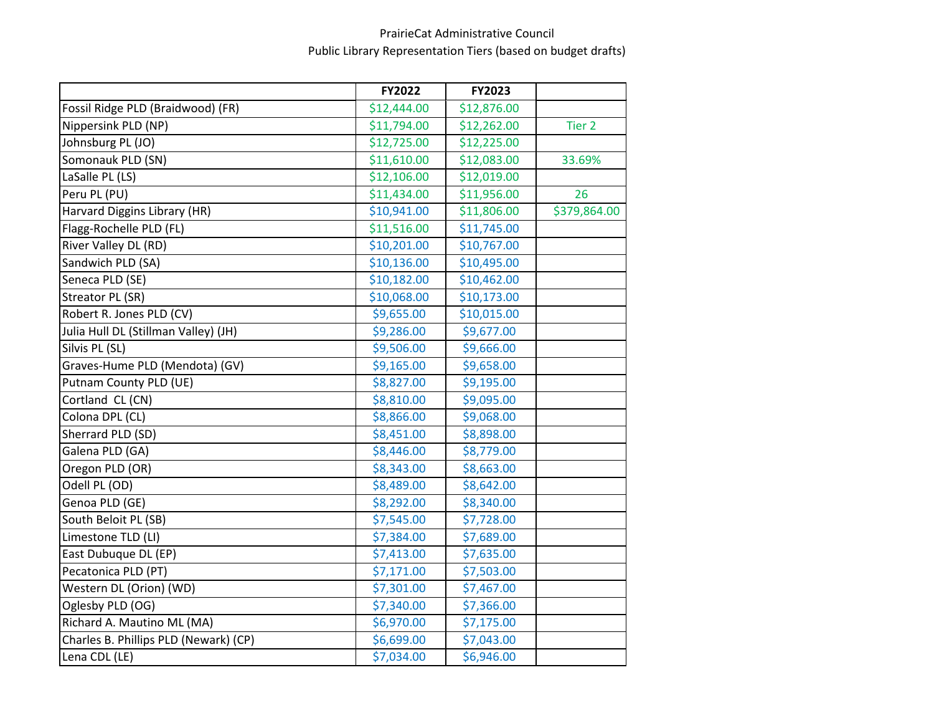## PrairieCat Administrative Council Public Library Representation Tiers (based on budget drafts)

|                                       | FY2022      | FY2023      |                   |
|---------------------------------------|-------------|-------------|-------------------|
| Fossil Ridge PLD (Braidwood) (FR)     | \$12,444.00 | \$12,876.00 |                   |
| Nippersink PLD (NP)                   | \$11,794.00 | \$12,262.00 | Tier <sub>2</sub> |
| Johnsburg PL (JO)                     | \$12,725.00 | \$12,225.00 |                   |
| Somonauk PLD (SN)                     | \$11,610.00 | \$12,083.00 | 33.69%            |
| LaSalle PL (LS)                       | \$12,106.00 | \$12,019.00 |                   |
| Peru PL (PU)                          | \$11,434.00 | \$11,956.00 | 26                |
| Harvard Diggins Library (HR)          | \$10,941.00 | \$11,806.00 | \$379,864.00      |
| Flagg-Rochelle PLD (FL)               | \$11,516.00 | \$11,745.00 |                   |
| River Valley DL (RD)                  | \$10,201.00 | \$10,767.00 |                   |
| Sandwich PLD (SA)                     | \$10,136.00 | \$10,495.00 |                   |
| Seneca PLD (SE)                       | \$10,182.00 | \$10,462.00 |                   |
| Streator PL (SR)                      | \$10,068.00 | \$10,173.00 |                   |
| Robert R. Jones PLD (CV)              | \$9,655.00  | \$10,015.00 |                   |
| Julia Hull DL (Stillman Valley) (JH)  | \$9,286.00  | \$9,677.00  |                   |
| Silvis PL (SL)                        | \$9,506.00  | \$9,666.00  |                   |
| Graves-Hume PLD (Mendota) (GV)        | \$9,165.00  | \$9,658.00  |                   |
| Putnam County PLD (UE)                | \$8,827.00  | \$9,195.00  |                   |
| Cortland CL (CN)                      | \$8,810.00  | \$9,095.00  |                   |
| Colona DPL (CL)                       | \$8,866.00  | \$9,068.00  |                   |
| Sherrard PLD (SD)                     | \$8,451.00  | \$8,898.00  |                   |
| Galena PLD (GA)                       | \$8,446.00  | \$8,779.00  |                   |
| Oregon PLD (OR)                       | \$8,343.00  | \$8,663.00  |                   |
| Odell PL (OD)                         | \$8,489.00  | \$8,642.00  |                   |
| Genoa PLD (GE)                        | \$8,292.00  | \$8,340.00  |                   |
| South Beloit PL (SB)                  | \$7,545.00  | \$7,728.00  |                   |
| Limestone TLD (LI)                    | \$7,384.00  | \$7,689.00  |                   |
| East Dubuque DL (EP)                  | \$7,413.00  | \$7,635.00  |                   |
| Pecatonica PLD (PT)                   | \$7,171.00  | \$7,503.00  |                   |
| Western DL (Orion) (WD)               | \$7,301.00  | \$7,467.00  |                   |
| Oglesby PLD (OG)                      | \$7,340.00  | \$7,366.00  |                   |
| Richard A. Mautino ML (MA)            | \$6,970.00  | \$7,175.00  |                   |
| Charles B. Phillips PLD (Newark) (CP) | \$6,699.00  | \$7,043.00  |                   |
| Lena CDL (LE)                         | \$7,034.00  | \$6,946.00  |                   |